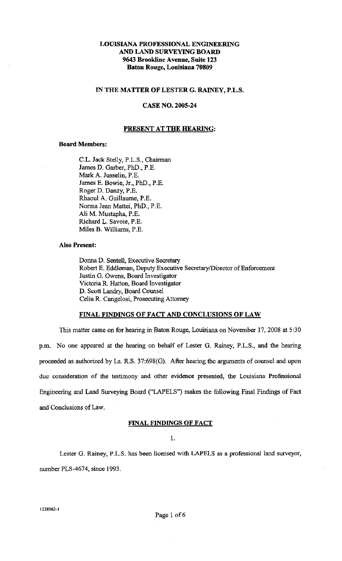# LOUISIANA PROFESSIONAL ENGINEERING AND LAND SURVEYING BOARD 9643 Brookline Avenue, Suite 123 Baton Rouge, Louisiana 70809

#### IN THE MATTER OF LESTER G. RAINEY, P.L.S.

#### CASE NO. 2005-24

#### PRESENT AT THE HEARING:

#### Board Members:

C.L. Jack Stelly, P.L.S., Chairman James D. Garber, PhD., P.E. Mark A. Jusselin, P .E. James E. Bowie, Jr., PhD., P.E. Roger D. Danzy, P.E. Rhaoul A. Guillaume, P.E. Norma Jean Mattei, PhD., P.E. Ali M. Mustapha, P.E. Richard L. Savoie, P.E. Miles B. Williams, P.E.

#### Also Present:

Donna D. Sentell, Executive Secretary Robert E. Eddleman, Deputy Executive Secretary/Director of Enforcement Justin G. Owens, Board Investigator Victoria R. Hatton, Board Investigator D. Scott Landry, Board Counsel Celia R. Cangelosi, Prosecuting Attorney

## FINAL FINDINGS OF FACT AND CONCLUSIONS OF LAW

This matter carne on for hearing in Baton Rouge, Louisiana on November 17, 2008 at 5:30 p.m. No one appeared at the hearing on behalf of Lester G. Rainey, P.L.S., and the hearing proceeded as authorized by La. R.S. 37:698(G). After hearing the arguments of counsel and upon due consideration of the testimony and other evidence presented, the Louisiana Professional Engineering and Land Surveying Board ("LAPELS") makes the following Final Findings of Fact and Conclusions of Law.

## FINAL FINDINGS OF FACT

### I.

Lester G. Rainey, P.L.S. has been licensed with LAPELS as a professional land surveyor, number PLS-4674, since 1993.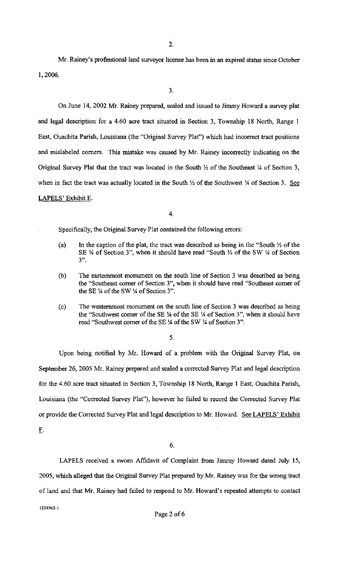Mr. Rainey's professional land surveyor license has been in an expired status since October 1, 2006.

3.

On June 14, 2002 Mr. Rainey prepared, sealed and issued to Jimmy Howard a survey plat and legal description for a 4.60 acre tract situated in Section 3, Township 18 North, Range I East, Ouachita Parish, Louisiana (the "Original Survey Plat") which had incorrect tract positions and mislabeled comers. This mistake was caused by Mr. Rainey incorrectly indicating on the Original Survey Plat that the tract was located in the South <sup>1</sup>/<sub>2</sub> of the Southeast <sup>1</sup>/<sub>4</sub> of Section 3, when in fact the tract was actually located in the South  $\frac{1}{2}$  of the Southwest  $\frac{1}{4}$  of Section 3. See LAPELS' Exhibit E.

4.

Specifically, the Original Survey Plat contained the following errors:

- (a) ln the caption of the plat, the tract was described as being in the "South *Y,* of the SE 1/4 of Section 3", when it should have read "South <sup>1</sup>/<sub>2</sub> of the SW <sup>1</sup>/4 of Section 3".
- (b) The easternmost monument on the south line of Section 3 was described as being the "Southeast comer of Section 3", when it should have read "Southeast comer of the SE 1/4 of the SW 1/4 of Section 3".
- (c) The westernmost monument on the south line of Section 3 was described as being the "Southwest corner of the SE  $\frac{1}{4}$  of the SE  $\frac{1}{4}$  of Section 3", when it should have read "Southwest comer of the SE  $\%$  of the SW  $\%$  of Section 3".

5.

Upon being notified by Mr. Howard of a problem with the Original Survey Plat, on September 26, 2005 Mr. Rainey prepared and sealed a corrected Survey Plat and legal description for the 4.60 acre tract situated in Section 3, Township 18 North, Range 1 East, Ouachita Parish, Louisiana (the "Corrected Survey Plat"), however he failed to record the Corrected Survey Plat or provide the Corrected Survey Plat and legal description to Mr. Howard. See LAPELS' Exhibit E.

6.

LAPELS received a sworn Affidavit of Complaint from Jimmy Howard dated July 15, 2005, which alleged that the Original Survey Plat prepared by Mr. Rainey was for the wrong tract of land and that Mr. Rainey had failed to respond to Mr. Howard's repeated attempts to contact

1238962-1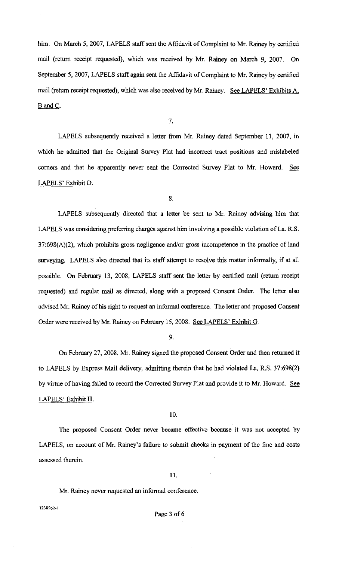him. On March 5, 2007, LAPELS staff sent the Affidavit of Complaint to Mr. Rainey by certified mail (return receipt requested), which was received by Mr. Rainey on March 9, 2007. On September 5, 2007, LAPELS staff again sent the Affidavit of Complaint to Mr. Rainey by certified mail (return receipt requested), which was also received by Mr. Rainey. See LAPELS' Exhibits A, Band C.

7.

LAPELS subsequently received a letter from Mr. Rainey dated September 11, 2007, in which he admitted that the Original Survey Plat had incorrect tract positions and mislabeled corners and that he apparently never sent the Corrected Survey Plat to Mr. Howard. See LAPELS' Exhibit D.

8.

LAPELS subsequently directed that a letter be sent to Mr. Rainey advising him that LAPELS was considering preferring charges against him involving a possible violation of La. R.S.  $37:698(A)(2)$ , which prohibits gross negligence and/or gross incompetence in the practice of land surveying. LAPELS also directed that its staff attempt to resolve this matter informally, if at all possible. On February 13, 2008, LAPELS staff sent the letter by certified mail (return receipt requested) and regular mail as directed, along with a proposed Consent Order. The letter also advised Mr. Rainey of his right to request an informal conference. The letter and proposed Consent Order were received by Mr. Rainey on February 15, 2008. See LAPELS' Exhibit G.

9.

On February 27, 2008, Mr. Rainey signed the proposed Consent Order and then returned it to LAPELS by Express Mail delivery, admitting therein that he had violated La. R.S. 37:698(2) by virtue of having failed to record the Corrected Survey Plat and provide it to Mr. Howard. See LAPELS' Exhibit H.

## 10.

The proposed Consent Order never became effective because it was not accepted by LAPELS, on account of Mr. Rainey's failure to submit checks in payment of the fine and costs assessed therein.

II.

Mr. Rainey never requested an informal conference.

1238962-1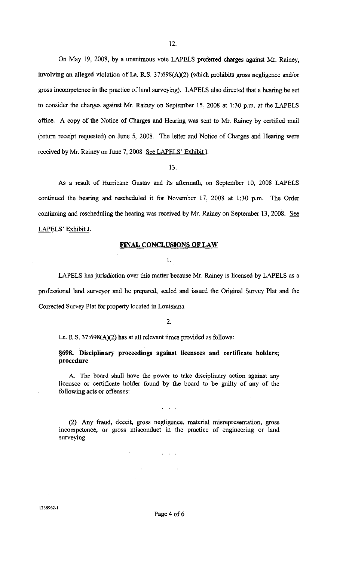On May 19, 2008, by a unanimous vote LAPELS preferred charges against Mr. Rainey, involving an alleged violation of La. R.S. 37:698(A)(2) (which prohibits gross negligence and/or gross incompetence in the practice of land surveying). LAPELS also directed that a hearing be set to consider the charges against Mr. Rainey on September 15, 2008 at 1 :30 p.m. at the LAPELS office. A copy of the Notice of Charges and Hearing was sent to Mr. Rainey by certified mail (return receipt requested) on June 5, 2008. The letter and Notice of Charges and Hearing were received by Mr. Rainey on June 7, 2008 See LAPELS' Exhibit I.

13.

As a result of Hurricane Gustav and its aftermath, on September 10, 2008 LAPELS continued the hearing and rescheduled it for November 17, 2008 at 1:30 p.m. The Order continuing and rescheduling the hearing was received by Mr. Rainey on September 13, 2008. See LAPELS' Exhibit J.

### FINAL CONCLUSIONS OF LAW

1.

LAPELS has jurisdiction over this matter because Mr. Rainey is licensed by LAPELS as a professional land surveyor and he prepared, sealed and issued the Original Survey Plat and the Corrected Survey Plat for property located in Louisiana.

2.

La. R.S. 37:698(A)(2) has at all relevant times provided as follows:

# §698. Disciplinary proceedings against licensees and certificate holders; procedure

A. The board shall have the power to take disciplinary action against any licensee or certificate holder found by the board to be guilty of any of the following acts or offenses:

 $\mathbf{z} = \mathbf{z} + \mathbf{z}$ 

(2) Any fraud, deceit, gross negligence, material misrepresentation, gross incompetence, or gross misconduct in the practice of engineering or land surveying.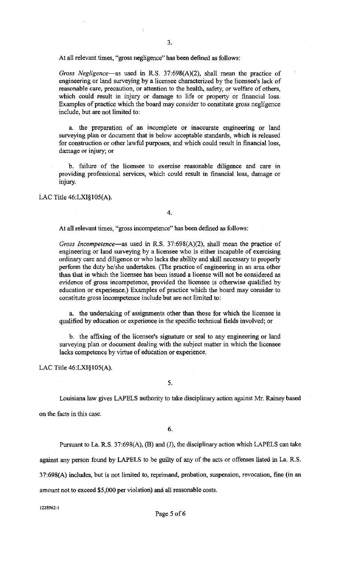At all relevant times, "gross negligence" has been defined as follows:

*Gross Negligence-as* used in R.S. 37:698(A)(2), shall mean the practice of engineering or land surveying by a licensee characterized by the licensee's lack of reasonable care, precaution, or attention to the health, safety, or welfare of others, which could result in injury or damage to life or property or financial loss. Examples of practice which the board may consider to constitute gross negligence include, but are not limited to:

a. the preparation of an incomplete or inaccurate engineering or land surveying plan or document that is below acceptable standards, which is released for construction or other lawful pwposes, and which could result in financial loss, damage or injury; or

b. failure of the licensee to exercise reasonable diligence and care in providing professional services, which could result in financial loss, damage or injury.

LAC Title 46:LXI§105(A).

#### 4.

At all relevant times, "gross incompetence" has been defined as follows:

*Gross Incompetence-as* used in R.S. 37:698(A)(2), shall mean the practice of engineering or land surveying by a licensee who is either incapable of exercising ordinary care and diligence or who lacks the ability and skill necessary to properly perform the duty he/she undertakes. (The practice of engineering in an area other than that in which the licensee has been issued a license will not be considered as evidence of gross incompetence, provided the licensee is otherwise qualified by education or experience.) Examples of practice which the board may consider to constitute gross incompetence include but are not limited to:

a. the undertaking of assignments other than those for which the licensee is qualified by education or experience in the specific technical fields involved; or

b. the affixing of the licensee's signature or seal to any engineering or land surveying plan or document dealing with the subject matter in which the licensee lacks competence by virtue of education or experience.

LAC Title 46:LXI§l05(A).

5.

Louisiana law gives LAPELS authority to take disciplinary action against Mr. Rainey based on the facts in this case.

6.

Pursuant to La R.S. 37:698(A), (B) and (J), the disciplinary action which LAPELS can take

against any person found by LAPELS to be guilty of any of the acts or offenses listed in La. R.S.

37:698(A) includes, but is not limited to, reprimand, probation, suspension, revocation, fine (in an

amount not to exceed \$5,000 per violation) and all reasonable costs.

1238962-1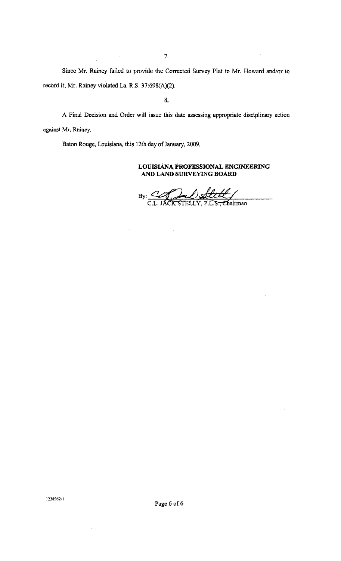Since Mr. Rainey failed to provide the Corrected Survey Plat to Mr. Howard and/or to record it, Mr. Rainey violated La. R.S. 37:698(A)(2).

7.

8.

A Final Decision and Order will issue this date assessing appropriate disciplinary action against Mr. Rainey.

Baton Rouge, Louisiana, this 12th day of January, 2009.

# **LOUISIANA PROFESSIONAL ENGINEERING AND LAND SURVEYING BOARD**

<u>delett</u> By:  $\leq$ 

1238962·1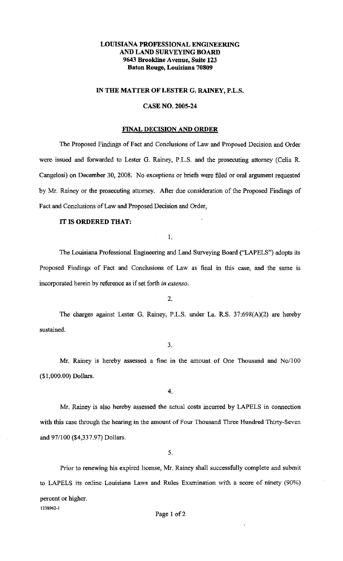## LOUISIANA PROFESSIONAL ENGINEERING AND LAND SURVEYING BOARD 9643 Brookline Avenue, Suite 123 Baton Rouge, Louisiana 70809

#### IN THE MATTER OF LESTER G. RAINEY, P.L.S.

### CASE NO. 2005-24

#### FINAL DECISION AND ORDER

The Proposed Findings of Fact and Conclusions of Law and Proposed Decision and Order were issued and forwarded to Lester G. Rainey, P.L.S. and the prosecuting attorney (Celia R. Cangelosi) on December 30, 2008. No exceptions or briefs were filed or oral argument requested by Mr. Rainey or the prosecuting attorney. After due consideration of the Proposed Findings of Fact and Conclusions of Law and Proposed Decision and Order,

## IT IS ORDERED THAT:

I.

The Louisiana Professional Engineering and Land Surveying Board ("LAPELS") adopts its Proposed Findings of Fact and Conclusions of Law as final in this case, and the same is incorporated herein by reference as if set forth *in extenso.* 

2.

The charges against Lester G. Rainey, P.L.S. under La. R.S. 37:698(A)(2) are hereby sustained.

3.

Mr. Rainey is hereby assessed a fine in the amount of One Thousand and No/100 (\$1,000.00) Dollars.

4.

Mr. Rainey is also hereby assessed the actual costs incurred by LAPELS in connection with this case through the hearing in the amount of Four Thousand Three Hundred Thirty-Seven and 97/100 (\$4,337.97) Dollars.

5.

Prior to renewing his expired license, Mr. Rainey shall successfully complete and submit to LAPELS its online Louisiana Laws and Rules Examination with a score of ninety (90%) percent or higher. 1238962-1